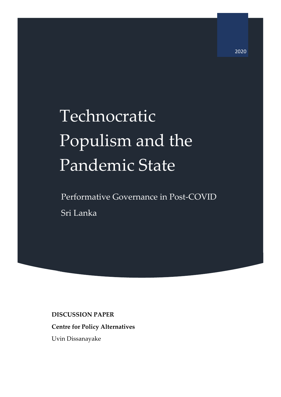# Technocratic Populism and the Pandemic State

Performative Governance in Post-COVID Sri Lanka

# **DISCUSSION PAPER**

# **Centre for Policy Alternatives**

Uvin Dissanayake

2020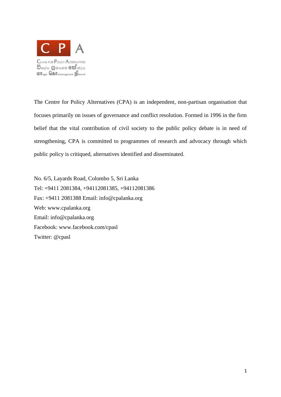

The Centre for Policy Alternatives (CPA) is an independent, non-partisan organisation that focuses primarily on issues of governance and conflict resolution. Formed in 1996 in the firm belief that the vital contribution of civil society to the public policy debate is in need of strengthening, CPA is committed to programmes of research and advocacy through which public policy is critiqued, alternatives identified and disseminated.

No. 6/5, Layards Road, Colombo 5, Sri Lanka Tel: +9411 2081384, +94112081385, +94112081386 Fax: +9411 2081388 Email: info@cpalanka.org Web: www.cpalanka.org Email: info@cpalanka.org Facebook: www.facebook.com/cpasl Twitter: @cpasl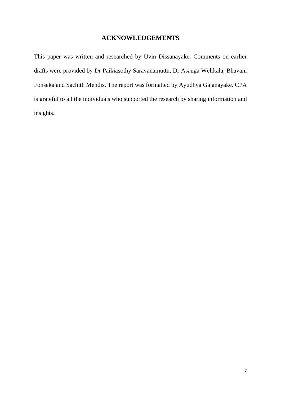# **ACKNOWLEDGEMENTS**

This paper was written and researched by Uvin Dissanayake. Comments on earlier drafts were provided by Dr Paikiasothy Saravanamuttu, Dr Asanga Welikala, Bhavani Fonseka and Sachith Mendis. The report was formatted by Ayudhya Gajanayake. CPA is grateful to all the individuals who supported the research by sharing information and insights.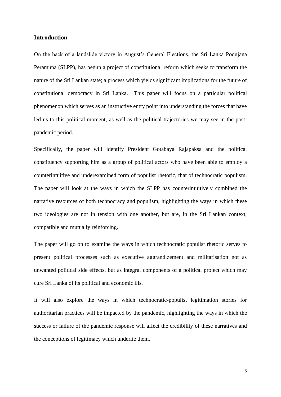# **Introduction**

On the back of a landslide victory in August's General Elections, the Sri Lanka Podujana Peramuna (SLPP), has begun a project of constitutional reform which seeks to transform the nature of the Sri Lankan state; a process which yields significant implications for the future of constitutional democracy in Sri Lanka. This paper will focus on a particular political phenomenon which serves as an instructive entry point into understanding the forces that have led us to this political moment, as well as the political trajectories we may see in the postpandemic period.

Specifically, the paper will identify President Gotabaya Rajapaksa and the political constituency supporting him as a group of political actors who have been able to employ a counterintuitive and underexamined form of populist rhetoric, that of technocratic populism. The paper will look at the ways in which the SLPP has counterintuitively combined the narrative resources of both technocracy and populism, highlighting the ways in which these two ideologies are not in tension with one another, but are, in the Sri Lankan context, compatible and mutually reinforcing.

The paper will go on to examine the ways in which technocratic populist rhetoric serves to present political processes such as executive aggrandizement and militarisation not as unwanted political side effects, but as integral components of a political project which may cure Sri Lanka of its political and economic ills.

It will also explore the ways in which technocratic-populist legitimation stories for authoritarian practices will be impacted by the pandemic, highlighting the ways in which the success or failure of the pandemic response will affect the credibility of these narratives and the conceptions of legitimacy which underlie them.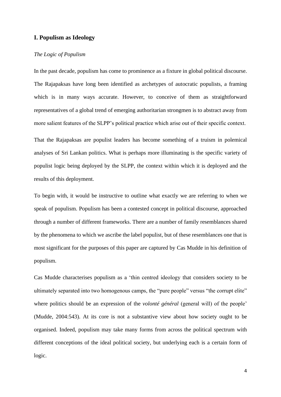# **I. Populism as Ideology**

# *The Logic of Populism*

In the past decade, populism has come to prominence as a fixture in global political discourse. The Rajapaksas have long been identified as archetypes of autocratic populists, a framing which is in many ways accurate. However, to conceive of them as straightforward representatives of a global trend of emerging authoritarian strongmen is to abstract away from more salient features of the SLPP's political practice which arise out of their specific context.

That the Rajapaksas are populist leaders has become something of a truism in polemical analyses of Sri Lankan politics. What is perhaps more illuminating is the specific variety of populist logic being deployed by the SLPP, the context within which it is deployed and the results of this deployment.

To begin with, it would be instructive to outline what exactly we are referring to when we speak of populism. Populism has been a contested concept in political discourse, approached through a number of different frameworks. There are a number of family resemblances shared by the phenomena to which we ascribe the label populist, but of these resemblances one that is most significant for the purposes of this paper are captured by Cas Mudde in his definition of populism.

Cas Mudde characterises populism as a 'thin centred ideology that considers society to be ultimately separated into two homogenous camps, the "pure people" versus "the corrupt elite" where politics should be an expression of the *volonté général* (general will) of the people' (Mudde, 2004:543). At its core is not a substantive view about how society ought to be organised. Indeed, populism may take many forms from across the political spectrum with different conceptions of the ideal political society, but underlying each is a certain form of logic.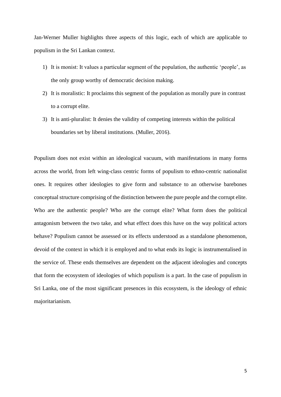Jan-Werner Muller highlights three aspects of this logic, each of which are applicable to populism in the Sri Lankan context.

- 1) It is monist: It values a particular segment of the population, the authentic 'people', as the only group worthy of democratic decision making.
- 2) It is moralistic: It proclaims this segment of the population as morally pure in contrast to a corrupt elite.
- 3) It is anti-pluralist: It denies the validity of competing interests within the political boundaries set by liberal institutions. (Muller, 2016).

Populism does not exist within an ideological vacuum, with manifestations in many forms across the world, from left wing-class centric forms of populism to ethno-centric nationalist ones. It requires other ideologies to give form and substance to an otherwise barebones conceptual structure comprising of the distinction between the pure people and the corrupt elite. Who are the authentic people? Who are the corrupt elite? What form does the political antagonism between the two take, and what effect does this have on the way political actors behave? Populism cannot be assessed or its effects understood as a standalone phenomenon, devoid of the context in which it is employed and to what ends its logic is instrumentalised in the service of. These ends themselves are dependent on the adjacent ideologies and concepts that form the ecosystem of ideologies of which populism is a part. In the case of populism in Sri Lanka, one of the most significant presences in this ecosystem, is the ideology of ethnic majoritarianism.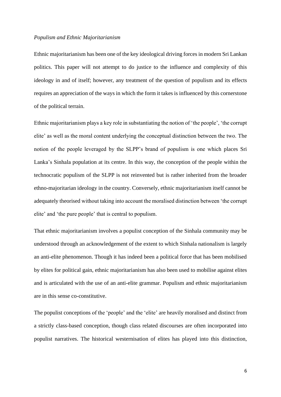#### *Populism and Ethnic Majoritarianism*

Ethnic majoritarianism has been one of the key ideological driving forces in modern Sri Lankan politics. This paper will not attempt to do justice to the influence and complexity of this ideology in and of itself; however, any treatment of the question of populism and its effects requires an appreciation of the ways in which the form it takes is influenced by this cornerstone of the political terrain.

Ethnic majoritarianism plays a key role in substantiating the notion of 'the people', 'the corrupt elite' as well as the moral content underlying the conceptual distinction between the two. The notion of the people leveraged by the SLPP's brand of populism is one which places Sri Lanka's Sinhala population at its centre. In this way, the conception of the people within the technocratic populism of the SLPP is not reinvented but is rather inherited from the broader ethno-majoritarian ideology in the country. Conversely, ethnic majoritarianism itself cannot be adequately theorised without taking into account the moralised distinction between 'the corrupt elite' and 'the pure people' that is central to populism.

That ethnic majoritarianism involves a populist conception of the Sinhala community may be understood through an acknowledgement of the extent to which Sinhala nationalism is largely an anti-elite phenomenon. Though it has indeed been a political force that has been mobilised by elites for political gain, ethnic majoritarianism has also been used to mobilise against elites and is articulated with the use of an anti-elite grammar. Populism and ethnic majoritarianism are in this sense co-constitutive.

The populist conceptions of the 'people' and the 'elite' are heavily moralised and distinct from a strictly class-based conception, though class related discourses are often incorporated into populist narratives. The historical westernisation of elites has played into this distinction,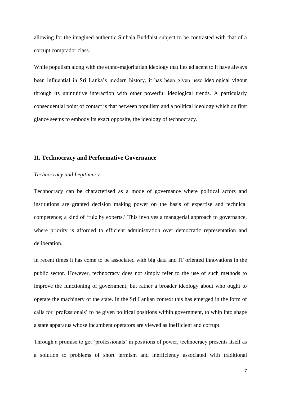allowing for the imagined authentic Sinhala Buddhist subject to be contrasted with that of a corrupt comprador class.

While populism along with the ethno-majoritarian ideology that lies adjacent to it have always been influential in Sri Lanka's modern history, it has been given new ideological vigour through its unintuitive interaction with other powerful ideological trends. A particularly consequential point of contact is that between populism and a political ideology which on first glance seems to embody its exact opposite, the ideology of technocracy.

# **II. Technocracy and Performative Governance**

#### *Technocracy and Legitimacy*

Technocracy can be characterised as a mode of governance where political actors and institutions are granted decision making power on the basis of expertise and technical competence; a kind of 'rule by experts.' This involves a managerial approach to governance, where priority is afforded to efficient administration over democratic representation and deliberation.

In recent times it has come to be associated with big data and IT oriented innovations in the public sector. However, technocracy does not simply refer to the use of such methods to improve the functioning of government, but rather a broader ideology about who ought to operate the machinery of the state. In the Sri Lankan context this has emerged in the form of calls for 'professionals' to be given political positions within government, to whip into shape a state apparatus whose incumbent operators are viewed as inefficient and corrupt.

Through a promise to get 'professionals' in positions of power, technocracy presents itself as a solution to problems of short termism and inefficiency associated with traditional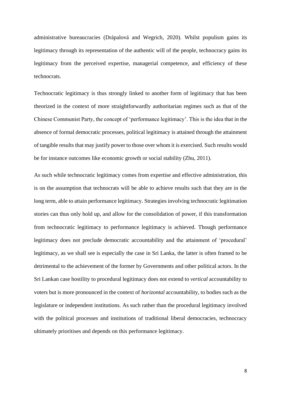administrative bureaucracies (Drápalová and Wegrich, 2020). Whilst populism gains its legitimacy through its representation of the authentic will of the people, technocracy gains its legitimacy from the perceived expertise, managerial competence, and efficiency of these technocrats.

Technocratic legitimacy is thus strongly linked to another form of legitimacy that has been theorized in the context of more straightforwardly authoritarian regimes such as that of the Chinese Communist Party, the concept of 'performance legitimacy'. This is the idea that in the absence of formal democratic processes, political legitimacy is attained through the attainment of tangible results that may justify power to those over whom it is exercised. Such results would be for instance outcomes like economic growth or social stability (Zhu, 2011).

As such while technocratic legitimacy comes from expertise and effective administration, this is on the assumption that technocrats will be able to achieve results such that they are in the long term, able to attain performance legitimacy. Strategies involving technocratic legitimation stories can thus only hold up, and allow for the consolidation of power, if this transformation from technocratic legitimacy to performance legitimacy is achieved. Though performance legitimacy does not preclude democratic accountability and the attainment of 'procedural' legitimacy, as we shall see is especially the case in Sri Lanka, the latter is often framed to be detrimental to the achievement of the former by Governments and other political actors. In the Sri Lankan case hostility to procedural legitimacy does not extend to *vertical* accountability to voters but is more pronounced in the context of *horizontal* accountability, to bodies such as the legislature or independent institutions. As such rather than the procedural legitimacy involved with the political processes and institutions of traditional liberal democracies, technocracy ultimately prioritises and depends on this performance legitimacy.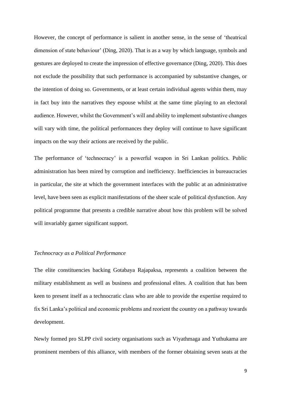However, the concept of performance is salient in another sense, in the sense of 'theatrical dimension of state behaviour' (Ding, 2020). That is as a way by which language, symbols and gestures are deployed to create the impression of effective governance (Ding, 2020). This does not exclude the possibility that such performance is accompanied by substantive changes, or the intention of doing so. Governments, or at least certain individual agents within them, may in fact buy into the narratives they espouse whilst at the same time playing to an electoral audience. However, whilst the Government's will and ability to implement substantive changes will vary with time, the political performances they deploy will continue to have significant impacts on the way their actions are received by the public.

The performance of 'technocracy' is a powerful weapon in Sri Lankan politics. Public administration has been mired by corruption and inefficiency. Inefficiencies in bureaucracies in particular, the site at which the government interfaces with the public at an administrative level, have been seen as explicit manifestations of the sheer scale of political dysfunction. Any political programme that presents a credible narrative about how this problem will be solved will invariably garner significant support.

#### *Technocracy as a Political Performance*

The elite constituencies backing Gotabaya Rajapaksa, represents a coalition between the military establishment as well as business and professional elites. A coalition that has been keen to present itself as a technocratic class who are able to provide the expertise required to fix Sri Lanka's political and economic problems and reorient the country on a pathway towards development.

Newly formed pro SLPP civil society organisations such as Viyathmaga and Yuthukama are prominent members of this alliance, with members of the former obtaining seven seats at the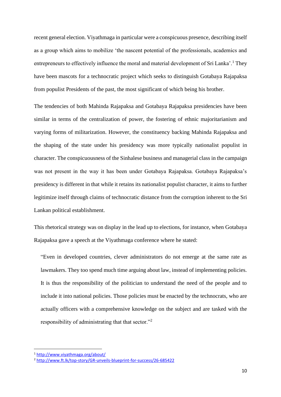recent general election. Viyathmaga in particular were a conspicuous presence, describing itself as a group which aims to mobilize 'the nascent potential of the professionals, academics and entrepreneurs to effectively influence the moral and material development of Sri Lanka'.<sup>1</sup> They have been mascots for a technocratic project which seeks to distinguish Gotabaya Rajapaksa from populist Presidents of the past, the most significant of which being his brother.

The tendencies of both Mahinda Rajapaksa and Gotabaya Rajapaksa presidencies have been similar in terms of the centralization of power, the fostering of ethnic majoritarianism and varying forms of militarization. However, the constituency backing Mahinda Rajapaksa and the shaping of the state under his presidency was more typically nationalist populist in character. The conspicuousness of the Sinhalese business and managerial class in the campaign was not present in the way it has been under Gotabaya Rajapaksa. Gotabaya Rajapaksa's presidency is different in that while it retains its nationalist populist character, it aims to further legitimize itself through claims of technocratic distance from the corruption inherent to the Sri Lankan political establishment.

This rhetorical strategy was on display in the lead up to elections, for instance, when Gotabaya Rajapaksa gave a speech at the Viyathmaga conference where he stated:

"Even in developed countries, clever administrators do not emerge at the same rate as lawmakers. They too spend much time arguing about law, instead of implementing policies. It is thus the responsibility of the politician to understand the need of the people and to include it into national policies. Those policies must be enacted by the technocrats, who are actually officers with a comprehensive knowledge on the subject and are tasked with the responsibility of administrating that that sector."<sup>2</sup>

<sup>1</sup> <http://www.viyathmaga.org/about/>

<sup>2</sup> <http://www.ft.lk/top-story/GR-unveils-blueprint-for-success/26-685422>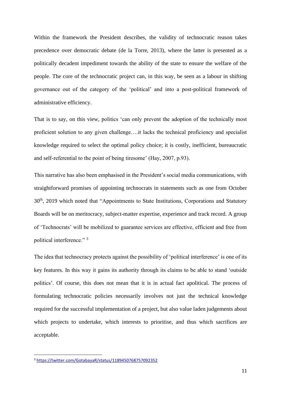Within the framework the President describes, the validity of technocratic reason takes precedence over democratic debate (de la Torre, 2013), where the latter is presented as a politically decadent impediment towards the ability of the state to ensure the welfare of the people. The core of the technocratic project can, in this way, be seen as a labour in shifting governance out of the category of the 'political' and into a post-political framework of administrative efficiency.

That is to say, on this view, politics 'can only prevent the adoption of the technically most proficient solution to any given challenge….it lacks the technical proficiency and specialist knowledge required to select the optimal policy choice; it is costly, inefficient, bureaucratic and self-referential to the point of being tiresome' (Hay, 2007, p.93).

This narrative has also been emphasised in the President's social media communications, with straightforward promises of appointing technocrats in statements such as one from October 30<sup>th</sup>, 2019 which noted that "Appointments to State Institutions, Corporations and Statutory Boards will be on meritocracy, subject-matter expertise, experience and track record. A group of 'Technocrats' will be mobilized to guarantee services are effective, efficient and free from political interference." <sup>3</sup>

The idea that technocracy protects against the possibility of 'political interference' is one of its key features. In this way it gains its authority through its claims to be able to stand 'outside politics'. Of course, this does not mean that it is in actual fact apolitical. The process of formulating technocratic policies necessarily involves not just the technical knowledge required for the successful implementation of a project, but also value laden judgements about which projects to undertake, which interests to prioritise, and thus which sacrifices are acceptable.

<sup>3</sup> <https://twitter.com/GotabayaR/status/1189450768757092352>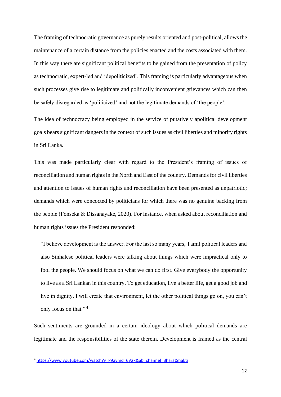The framing of technocratic governance as purely results oriented and post-political, allows the maintenance of a certain distance from the policies enacted and the costs associated with them. In this way there are significant political benefits to be gained from the presentation of policy as technocratic, expert-led and 'depoliticized'. This framing is particularly advantageous when such processes give rise to legitimate and politically inconvenient grievances which can then be safely disregarded as 'politicized' and not the legitimate demands of 'the people'.

The idea of technocracy being employed in the service of putatively apolitical development goals bears significant dangers in the context of such issues as civil liberties and minority rights in Sri Lanka.

This was made particularly clear with regard to the President's framing of issues of reconciliation and human rights in the North and East of the country. Demands for civil liberties and attention to issues of human rights and reconciliation have been presented as unpatriotic; demands which were concocted by politicians for which there was no genuine backing from the people (Fonseka & Dissanayake, 2020). For instance, when asked about reconciliation and human rights issues the President responded:

"I believe development is the answer. For the last so many years, Tamil political leaders and also Sinhalese political leaders were talking about things which were impractical only to fool the people. We should focus on what we can do first. Give everybody the opportunity to live as a Sri Lankan in this country. To get education, live a better life, get a good job and live in dignity. I will create that environment, let the other political things go on, you can't only focus on that."<sup>4</sup>

Such sentiments are grounded in a certain ideology about which political demands are legitimate and the responsibilities of the state therein. Development is framed as the central

<sup>4</sup> [https://www.youtube.com/watch?v=P9aymd\\_6V2k&ab\\_channel=BharatShakti](https://www.youtube.com/watch?v=P9aymd_6V2k&ab_channel=BharatShakti)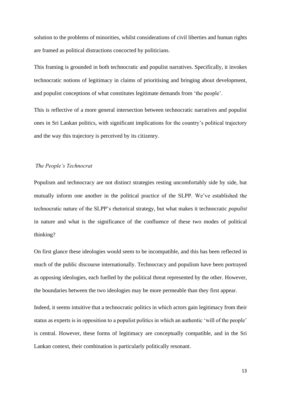solution to the problems of minorities, whilst considerations of civil liberties and human rights are framed as political distractions concocted by politicians.

This framing is grounded in both technocratic and populist narratives. Specifically, it invokes technocratic notions of legitimacy in claims of prioritising and bringing about development, and populist conceptions of what constitutes legitimate demands from 'the people'.

This is reflective of a more general intersection between technocratic narratives and populist ones in Sri Lankan politics, with significant implications for the country's political trajectory and the way this trajectory is perceived by its citizenry.

#### *The People's Technocrat*

Populism and technocracy are not distinct strategies resting uncomfortably side by side, but mutually inform one another in the political practice of the SLPP. We've established the technocratic nature of the SLPP's rhetorical strategy, but what makes it technocratic *populist* in nature and what is the significance of the confluence of these two modes of political thinking?

On first glance these ideologies would seem to be incompatible, and this has been reflected in much of the public discourse internationally. Technocracy and populism have been portrayed as opposing ideologies, each fuelled by the political threat represented by the other. However, the boundaries between the two ideologies may be more permeable than they first appear.

Indeed, it seems intuitive that a technocratic politics in which actors gain legitimacy from their status as experts is in opposition to a populist politics in which an authentic 'will of the people' is central. However, these forms of legitimacy are conceptually compatible, and in the Sri Lankan context, their combination is particularly politically resonant.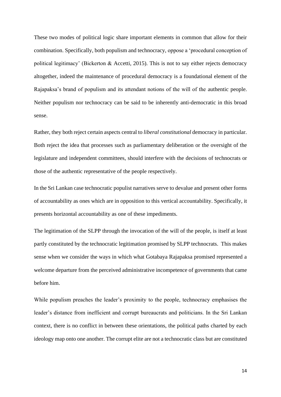These two modes of political logic share important elements in common that allow for their combination. Specifically, both populism and technocracy, oppose a 'procedural conception of political legitimacy' (Bickerton & Accetti, 2015). This is not to say either rejects democracy altogether, indeed the maintenance of procedural democracy is a foundational element of the Rajapaksa's brand of populism and its attendant notions of the will of the authentic people. Neither populism nor technocracy can be said to be inherently anti-democratic in this broad sense.

Rather, they both reject certain aspects central to *liberal constitutional* democracy in particular. Both reject the idea that processes such as parliamentary deliberation or the oversight of the legislature and independent committees, should interfere with the decisions of technocrats or those of the authentic representative of the people respectively.

In the Sri Lankan case technocratic populist narratives serve to devalue and present other forms of accountability as ones which are in opposition to this vertical accountability. Specifically, it presents horizontal accountability as one of these impediments.

The legitimation of the SLPP through the invocation of the will of the people, is itself at least partly constituted by the technocratic legitimation promised by SLPP technocrats. This makes sense when we consider the ways in which what Gotabaya Rajapaksa promised represented a welcome departure from the perceived administrative incompetence of governments that came before him.

While populism preaches the leader's proximity to the people, technocracy emphasises the leader's distance from inefficient and corrupt bureaucrats and politicians. In the Sri Lankan context, there is no conflict in between these orientations, the political paths charted by each ideology map onto one another. The corrupt elite are not a technocratic class but are constituted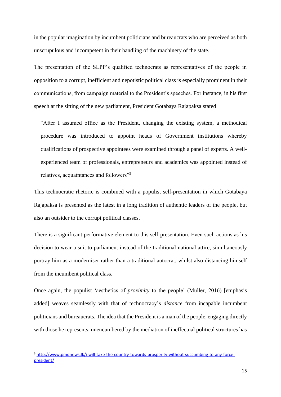in the popular imagination by incumbent politicians and bureaucrats who are perceived as both unscrupulous and incompetent in their handling of the machinery of the state.

The presentation of the SLPP's qualified technocrats as representatives of the people in opposition to a corrupt, inefficient and nepotistic political class is especially prominent in their communications, from campaign material to the President's speeches. For instance, in his first speech at the sitting of the new parliament, President Gotabaya Rajapaksa stated

"After I assumed office as the President, changing the existing system, a methodical procedure was introduced to appoint heads of Government institutions whereby qualifications of prospective appointees were examined through a panel of experts. A wellexperienced team of professionals, entrepreneurs and academics was appointed instead of relatives, acquaintances and followers"<sup>5</sup>

This technocratic rhetoric is combined with a populist self-presentation in which Gotabaya Rajapaksa is presented as the latest in a long tradition of authentic leaders of the people, but also an outsider to the corrupt political classes.

There is a significant performative element to this self-presentation. Even such actions as his decision to wear a suit to parliament instead of the traditional national attire, simultaneously portray him as a moderniser rather than a traditional autocrat, whilst also distancing himself from the incumbent political class.

Once again, the populist 'aesthetics of *proximity* to the people' (Muller, 2016) [emphasis added] weaves seamlessly with that of technocracy's *distance* from incapable incumbent politicians and bureaucrats. The idea that the President is a man of the people, engaging directly with those he represents, unencumbered by the mediation of ineffectual political structures has

<sup>5</sup> [http://www.pmdnews.lk/i-will-take-the-country-towards-prosperity-without-succumbing-to-any-force](http://www.pmdnews.lk/i-will-take-the-country-towards-prosperity-without-succumbing-to-any-force-president/)[president/](http://www.pmdnews.lk/i-will-take-the-country-towards-prosperity-without-succumbing-to-any-force-president/)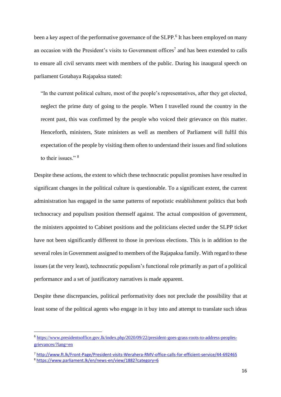been a key aspect of the performative governance of the SLPP.<sup>6</sup> It has been employed on many an occasion with the President's visits to Government offices<sup>7</sup> and has been extended to calls to ensure all civil servants meet with members of the public. During his inaugural speech on parliament Gotabaya Rajapaksa stated:

"In the current political culture, most of the people's representatives, after they get elected, neglect the prime duty of going to the people. When I travelled round the country in the recent past, this was confirmed by the people who voiced their grievance on this matter. Henceforth, ministers, State ministers as well as members of Parliament will fulfil this expectation of the people by visiting them often to understand their issues and find solutions to their issues." <sup>8</sup>

Despite these actions, the extent to which these technocratic populist promises have resulted in significant changes in the political culture is questionable. To a significant extent, the current administration has engaged in the same patterns of nepotistic establishment politics that both technocracy and populism position themself against. The actual composition of government, the ministers appointed to Cabinet positions and the politicians elected under the SLPP ticket have not been significantly different to those in previous elections. This is in addition to the several roles in Government assigned to members of the Rajapaksa family. With regard to these issues (at the very least), technocratic populism's functional role primarily as part of a political performance and a set of justificatory narratives is made apparent.

Despite these discrepancies, political performativity does not preclude the possibility that at least some of the political agents who engage in it buy into and attempt to translate such ideas

<sup>&</sup>lt;sup>6</sup> [https://www.presidentsoffice.gov.lk/index.php/2020/09/22/president-goes-grass-roots-to-address-peoples](https://www.presidentsoffice.gov.lk/index.php/2020/09/22/president-goes-grass-roots-to-address-peoples-grievances/?lang=en)[grievances/?lang=en](https://www.presidentsoffice.gov.lk/index.php/2020/09/22/president-goes-grass-roots-to-address-peoples-grievances/?lang=en)

<sup>7</sup> <http://www.ft.lk/Front-Page/President-visits-Werahera-RMV-office-calls-for-efficient-service/44-692465> <sup>8</sup> <https://www.parliament.lk/en/news-en/view/1882?category=6>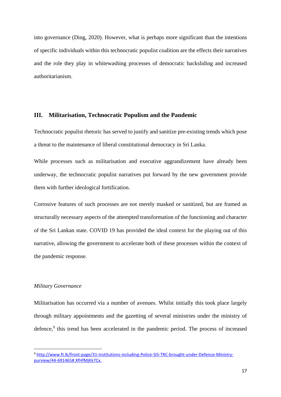into governance (Ding, 2020). However, what is perhaps more significant than the intentions of specific individuals within this technocratic populist coalition are the effects their narratives and the role they play in whitewashing processes of democratic backsliding and increased authoritarianism.

#### **III. Militarisation, Technocratic Populism and the Pandemic**

Technocratic populist rhetoric has served to justify and sanitize pre-existing trends which pose a threat to the maintenance of liberal constitutional democracy in Sri Lanka.

While processes such as militarisation and executive aggrandizement have already been underway, the technocratic populist narratives put forward by the new government provide them with further ideological fortification.

Corrosive features of such processes are not merely masked or sanitized, but are framed as structurally necessary aspects of the attempted transformation of the functioning and character of the Sri Lankan state. COVID 19 has provided the ideal context for the playing out of this narrative, allowing the government to accelerate both of these processes within the context of the pandemic response.

#### *Military Governance*

Militarisation has occurred via a number of avenues. Whilst initially this took place largely through military appointments and the gazetting of several ministries under the ministry of defence, 9 this trend has been accelerated in the pandemic period. The process of increased

<sup>9</sup> [http://www.ft.lk/front-page/31-institutions-including-Police-SIS-TRC-brought-under-Defence-Ministry](http://www.ft.lk/front-page/31-institutions-including-Police-SIS-TRC-brought-under-Defence-Ministry-purview/44-691465#.XfHfMjKk7Cx.twitter)[purview/44-691465#.XfHfMjKk7Cx.](http://www.ft.lk/front-page/31-institutions-including-Police-SIS-TRC-brought-under-Defence-Ministry-purview/44-691465#.XfHfMjKk7Cx.twitter)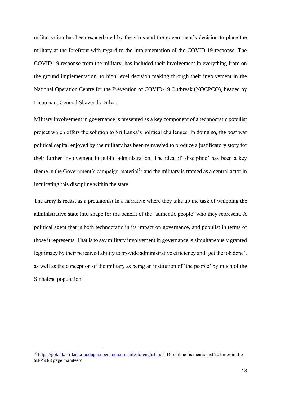militarisation has been exacerbated by the virus and the government's decision to place the military at the forefront with regard to the implementation of the COVID 19 response. The COVID 19 response from the military, has included their involvement in everything from on the ground implementation, to high level decision making through their involvement in the National Operation Centre for the Prevention of COVID-19 Outbreak (NOCPCO), headed by Lieutenant General Shavendra Silva.

Military involvement in governance is presented as a key component of a technocratic populist project which offers the solution to Sri Lanka's political challenges. In doing so, the post war political capital enjoyed by the military has been reinvested to produce a justificatory story for their further involvement in public administration. The idea of 'discipline' has been a key theme in the Government's campaign material<sup>10</sup> and the military is framed as a central actor in inculcating this discipline within the state.

The army is recast as a protagonist in a narrative where they take up the task of whipping the administrative state into shape for the benefit of the 'authentic people' who they represent. A political agent that is both technocratic in its impact on governance, and populist in terms of those it represents. That is to say military involvement in governance is simultaneously granted legitimacy by their perceived ability to provide administrative efficiency and 'get the job done', as well as the conception of the military as being an institution of 'the people' by much of the Sinhalese population.

<sup>10</sup> <https://gota.lk/sri-lanka-podujana-peramuna-manifesto-english.pdf> 'Discipline' is mentioned 22 times in the SLPP's 88 page manifesto.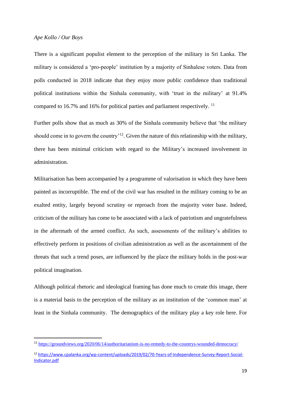### *Ape Kollo / Our Boys*

There is a significant populist element to the perception of the military in Sri Lanka. The military is considered a 'pro-people' institution by a majority of Sinhalese voters. Data from polls conducted in 2018 indicate that they enjoy more public confidence than traditional political institutions within the Sinhala community, with 'trust in the military' at 91.4% compared to 16.7% and 16% for political parties and parliament respectively. <sup>11</sup>

Further polls show that as much as 30% of the Sinhala community believe that 'the military should come in to govern the country<sup>12</sup>. Given the nature of this relationship with the military, there has been minimal criticism with regard to the Military's increased involvement in administration.

Militarisation has been accompanied by a programme of valorisation in which they have been painted as incorruptible. The end of the civil war has resulted in the military coming to be an exalted entity, largely beyond scrutiny or reproach from the majority voter base. Indeed, criticism of the military has come to be associated with a lack of patriotism and ungratefulness in the aftermath of the armed conflict. As such, assessments of the military's abilities to effectively perform in positions of civilian administration as well as the ascertainment of the threats that such a trend poses, are influenced by the place the military holds in the post-war political imagination.

Although political rhetoric and ideological framing has done much to create this image, there is a material basis to the perception of the military as an institution of the 'common man' at least in the Sinhala community. The demographics of the military play a key role here. For

<sup>11</sup> <https://groundviews.org/2020/06/14/authoritarianism-is-no-remedy-to-the-countrys-wounded-democracy/>

<sup>12</sup> [https://www.cpalanka.org/wp-content/uploads/2019/02/70-Years-of-Independence-Survey-Report-Social-](https://www.cpalanka.org/wp-content/uploads/2019/02/70-Years-of-Independence-Survey-Report-Social-Indicator.pdf)[Indicator.pdf](https://www.cpalanka.org/wp-content/uploads/2019/02/70-Years-of-Independence-Survey-Report-Social-Indicator.pdf)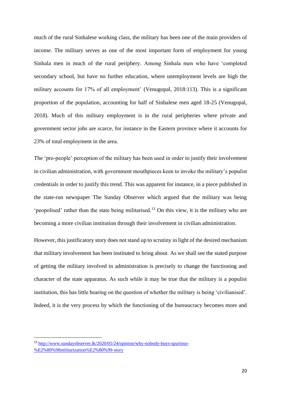much of the rural Sinhalese working class, the military has been one of the main providers of income. The military serves as one of the most important form of employment for young Sinhala men in much of the rural periphery. Among Sinhala men who have 'completed secondary school, but have no further education, where unemployment levels are high the military accounts for 17% of all employment' (Venugopal, 2018:113). This is a significant proportion of the population, accounting for half of Sinhalese men aged 18-25 (Venugopal, 2018). Much of this military employment is in the rural peripheries where private and government sector jobs are scarce, for instance in the Eastern province where it accounts for 23% of total employment in the area.

The 'pro-people' perception of the military has been used in order to justify their involvement in civilian administration, with government mouthpieces keen to invoke the military's populist credentials in order to justify this trend. This was apparent for instance, in a piece published in the state-run newspaper The Sunday Observer which argued that the military was being 'peopolised' rather than the state being militarised.<sup>13</sup> On this view, it is the military who are becoming a more civilian institution through their involvement in civilian administration.

However, this justificatory story does not stand up to scrutiny in light of the desired mechanism that military involvement has been instituted to bring about. As we shall see the stated purpose of getting the military involved in administration is precisely to change the functioning and character of the state apparatus. As such while it may be true that the military is a populist institution, this has little bearing on the question of whether the military is being 'civilianised'. Indeed, it is the very process by which the functioning of the bureaucracy becomes more and

<sup>13</sup> [http://www.sundayobserver.lk/2020/05/24/opinion/why-nobody-buys-spurious-](http://www.sundayobserver.lk/2020/05/24/opinion/why-nobody-buys-spurious-%E2%80%98militarization%E2%80%99-story) [%E2%80%98militarization%E2%80%99-story](http://www.sundayobserver.lk/2020/05/24/opinion/why-nobody-buys-spurious-%E2%80%98militarization%E2%80%99-story)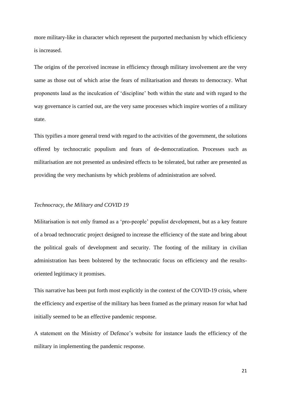more military-like in character which represent the purported mechanism by which efficiency is increased.

The origins of the perceived increase in efficiency through military involvement are the very same as those out of which arise the fears of militarisation and threats to democracy. What proponents laud as the inculcation of 'discipline' both within the state and with regard to the way governance is carried out, are the very same processes which inspire worries of a military state.

This typifies a more general trend with regard to the activities of the government, the solutions offered by technocratic populism and fears of de-democratization. Processes such as militarisation are not presented as undesired effects to be tolerated, but rather are presented as providing the very mechanisms by which problems of administration are solved.

#### *Technocracy, the Military and COVID 19*

Militarisation is not only framed as a 'pro-people' populist development, but as a key feature of a broad technocratic project designed to increase the efficiency of the state and bring about the political goals of development and security. The footing of the military in civilian administration has been bolstered by the technocratic focus on efficiency and the resultsoriented legitimacy it promises.

This narrative has been put forth most explicitly in the context of the COVID-19 crisis, where the efficiency and expertise of the military has been framed as the primary reason for what had initially seemed to be an effective pandemic response.

A statement on the Ministry of Defence's website for instance lauds the efficiency of the military in implementing the pandemic response.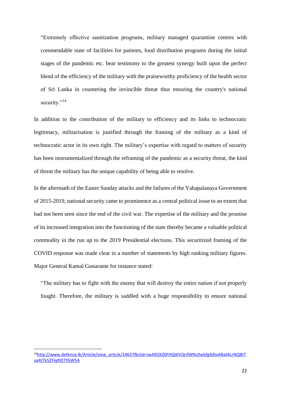"Extremely effective sanitization programs, military managed quarantine centres with commendable state of facilities for patients, food distribution programs during the initial stages of the pandemic etc. bear testimony to the greatest synergy built upon the perfect blend of the efficiency of the military with the praiseworthy proficiency of the health sector of Sri Lanka in countering the invincible threat thus ensuring the country's national security."<sup>14</sup>

In addition to the contribution of the military to efficiency and its links to technocratic legitimacy, militarisation is justified through the framing of the military as a kind of technocratic actor in its own right. The military's expertise with regard to matters of security has been instrumentalized through the reframing of the pandemic as a security threat, the kind of threat the military has the unique capability of being able to resolve.

In the aftermath of the Easter Sunday attacks and the failures of the Yahapalanaya Government of 2015-2019, national security came to prominence as a central political issue to an extent that had not been seen since the end of the civil war. The expertise of the military and the promise of its increased integration into the functioning of the state thereby became a valuable political commodity in the run up to the 2019 Presidential elections. This securitized framing of the COVID response was made clear in a number of statements by high ranking military figures. Major General Kamal Gunaratne for instance stated:

"The military has to fight with the enemy that will destroy the entire nation if not properly fought. Therefore, the military is saddled with a huge responsibility to ensure national

<sup>14</sup>[http://www.defence.lk/Article/view\\_article/2463?fbclid=IwAR2KZ0FHQt6VQnfWNUhebfg4dtxABatALrNQ8tT](http://www.defence.lk/Article/view_article/2463?fbclid=IwAR2KZ0FHQt6VQnfWNUhebfg4dtxABatALrNQ8tTaaRJTk5ZFlqRtETfGW5A) [aaRJTk5ZFlqRtETfGW5A](http://www.defence.lk/Article/view_article/2463?fbclid=IwAR2KZ0FHQt6VQnfWNUhebfg4dtxABatALrNQ8tTaaRJTk5ZFlqRtETfGW5A)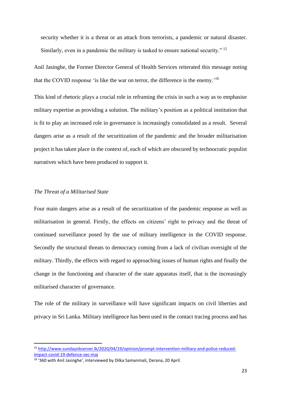security whether it is a threat or an attack from terrorists, a pandemic or natural disaster. Similarly, even in a pandemic the military is tasked to ensure national security."<sup>15</sup>

Anil Jasinghe, the Former Director General of Health Services reiterated this message noting that the COVID response 'is like the war on terror, the difference is the enemy.' 16

This kind of rhetoric plays a crucial role in reframing the crisis in such a way as to emphasise military expertise as providing a solution. The military's position as a political institution that is fit to play an increased role in governance is increasingly consolidated as a result. Several dangers arise as a result of the securitization of the pandemic and the broader militarisation project it has taken place in the context of, each of which are obscured by technocratic populist narratives which have been produced to support it.

#### *The Threat of a Militarised State*

Four main dangers arise as a result of the securitization of the pandemic response as well as militarisation in general. Firstly, the effects on citizens' right to privacy and the threat of continued surveillance posed by the use of military intelligence in the COVID response. Secondly the structural threats to democracy coming from a lack of civilian oversight of the military. Thirdly, the effects with regard to approaching issues of human rights and finally the change in the functioning and character of the state apparatus itself, that is the increasingly militarised character of governance.

The role of the military in surveillance will have significant impacts on civil liberties and privacy in Sri Lanka. Military intelligence has been used in the contact tracing process and has

<sup>15</sup> [http://www.sundayobserver.lk/2020/04/19/opinion/prompt-intervention-military-and-police-reduced](http://www.sundayobserver.lk/2020/04/19/opinion/prompt-intervention-military-and-police-reduced-impact-covid-19-defence-sec-maj)[impact-covid-19-defence-sec-maj](http://www.sundayobserver.lk/2020/04/19/opinion/prompt-intervention-military-and-police-reduced-impact-covid-19-defence-sec-maj)

<sup>&</sup>lt;sup>16</sup> '360 with Anil Jasinghe', interviewed by Dilka Samanmali, Derana, 20 April.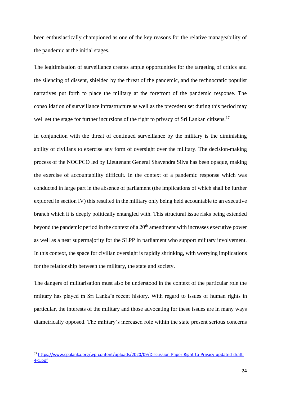been enthusiastically championed as one of the key reasons for the relative manageability of the pandemic at the initial stages.

The legitimisation of surveillance creates ample opportunities for the targeting of critics and the silencing of dissent, shielded by the threat of the pandemic, and the technocratic populist narratives put forth to place the military at the forefront of the pandemic response. The consolidation of surveillance infrastructure as well as the precedent set during this period may well set the stage for further incursions of the right to privacy of Sri Lankan citizens.<sup>17</sup>

In conjunction with the threat of continued surveillance by the military is the diminishing ability of civilians to exercise any form of oversight over the military. The decision-making process of the NOCPCO led by Lieutenant General Shavendra Silva has been opaque, making the exercise of accountability difficult. In the context of a pandemic response which was conducted in large part in the absence of parliament (the implications of which shall be further explored in section IV) this resulted in the military only being held accountable to an executive branch which it is deeply politically entangled with. This structural issue risks being extended beyond the pandemic period in the context of a 20<sup>th</sup> amendment with increases executive power as well as a near supermajority for the SLPP in parliament who support military involvement. In this context, the space for civilian oversight is rapidly shrinking, with worrying implications for the relationship between the military, the state and society.

The dangers of militarisation must also be understood in the context of the particular role the military has played in Sri Lanka's recent history. With regard to issues of human rights in particular, the interests of the military and those advocating for these issues are in many ways diametrically opposed. The military's increased role within the state present serious concerns

<sup>17</sup> [https://www.cpalanka.org/wp-content/uploads/2020/09/Discussion-Paper-Right-to-Privacy-updated-draft-](https://www.cpalanka.org/wp-content/uploads/2020/09/Discussion-Paper-Right-to-Privacy-updated-draft-4-1.pdf)[4-1.pdf](https://www.cpalanka.org/wp-content/uploads/2020/09/Discussion-Paper-Right-to-Privacy-updated-draft-4-1.pdf)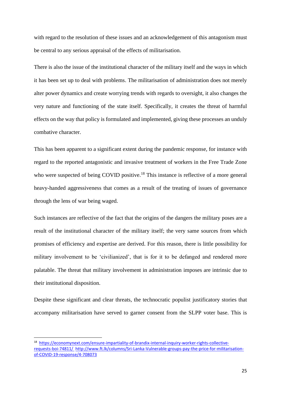with regard to the resolution of these issues and an acknowledgement of this antagonism must be central to any serious appraisal of the effects of militarisation.

There is also the issue of the institutional character of the military itself and the ways in which it has been set up to deal with problems. The militarisation of administration does not merely alter power dynamics and create worrying trends with regards to oversight, it also changes the very nature and functioning of the state itself. Specifically, it creates the threat of harmful effects on the way that policy is formulated and implemented, giving these processes an unduly combative character.

This has been apparent to a significant extent during the pandemic response, for instance with regard to the reported antagonistic and invasive treatment of workers in the Free Trade Zone who were suspected of being COVID positive.<sup>18</sup> This instance is reflective of a more general heavy-handed aggressiveness that comes as a result of the treating of issues of governance through the lens of war being waged.

Such instances are reflective of the fact that the origins of the dangers the military poses are a result of the institutional character of the military itself; the very same sources from which promises of efficiency and expertise are derived. For this reason, there is little possibility for military involvement to be 'civilianized', that is for it to be defanged and rendered more palatable. The threat that military involvement in administration imposes are intrinsic due to their institutional disposition.

Despite these significant and clear threats, the technocratic populist justificatory stories that accompany militarisation have served to garner consent from the SLPP voter base. This is

<sup>18</sup> [https://economynext.com/ensure-impartiality-of-brandix-internal-inquiry-worker-rights-collective](https://economynext.com/ensure-impartiality-of-brandix-internal-inquiry-worker-rights-collective-requests-boi-74811/)[requests-boi-74811/](https://economynext.com/ensure-impartiality-of-brandix-internal-inquiry-worker-rights-collective-requests-boi-74811/) [http://www.ft.lk/columns/Sri-Lanka-Vulnerable-groups-pay-the-price-for-militarisation](http://www.ft.lk/columns/Sri-Lanka-Vulnerable-groups-pay-the-price-for-militarisation-of-COVID-19-response/4-708073)[of-COVID-19-response/4-708073](http://www.ft.lk/columns/Sri-Lanka-Vulnerable-groups-pay-the-price-for-militarisation-of-COVID-19-response/4-708073)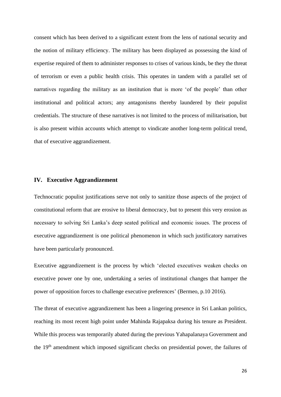consent which has been derived to a significant extent from the lens of national security and the notion of military efficiency. The military has been displayed as possessing the kind of expertise required of them to administer responses to crises of various kinds, be they the threat of terrorism or even a public health crisis. This operates in tandem with a parallel set of narratives regarding the military as an institution that is more 'of the people' than other institutional and political actors; any antagonisms thereby laundered by their populist credentials. The structure of these narratives is not limited to the process of militarisation, but is also present within accounts which attempt to vindicate another long-term political trend, that of executive aggrandizement.

### **IV. Executive Aggrandizement**

Technocratic populist justifications serve not only to sanitize those aspects of the project of constitutional reform that are erosive to liberal democracy, but to present this very erosion as necessary to solving Sri Lanka's deep seated political and economic issues. The process of executive aggrandizement is one political phenomenon in which such justificatory narratives have been particularly pronounced.

Executive aggrandizement is the process by which 'elected executives weaken checks on executive power one by one, undertaking a series of institutional changes that hamper the power of opposition forces to challenge executive preferences' (Bermeo, p.10 2016).

The threat of executive aggrandizement has been a lingering presence in Sri Lankan politics, reaching its most recent high point under Mahinda Rajapaksa during his tenure as President. While this process was temporarily abated during the previous Yahapalanaya Government and the 19th amendment which imposed significant checks on presidential power, the failures of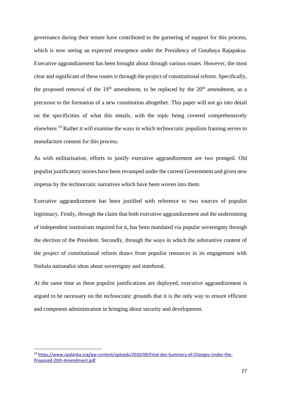governance during their tenure have contributed to the garnering of support for this process, which is now seeing an expected resurgence under the Presidency of Gotabaya Rajapaksa. Executive aggrandizement has been brought about through various routes. However, the most clear and significant of these routes is through the project of constitutional reform. Specifically, the proposed removal of the  $19<sup>th</sup>$  amendment, to be replaced by the  $20<sup>th</sup>$  amendment, as a precursor to the formation of a new constitution altogether. This paper will not go into detail on the specificities of what this entails, with the topic being covered comprehensively elsewhere.<sup>19</sup> Rather it will examine the ways in which technocratic populism framing serves to manufacture consent for this process.

As with militarisation, efforts to justify executive aggrandizement are two pronged. Old populist justificatory stories have been revamped under the current Government and given new impetus by the technocratic narratives which have been woven into them.

Executive aggrandizement has been justified with reference to two sources of populist legitimacy. Firstly, through the claim that both executive aggrandizement and the undermining of independent institutions required for it, has been mandated via popular sovereignty through the election of the President. Secondly, through the ways in which the substantive content of the project of constitutional reform draws from populist resources in its engagement with Sinhala nationalist ideas about sovereignty and statehood.

At the same time as these populist justifications are deployed, executive aggrandizement is argued to be necessary on the technocratic grounds that it is the only way to ensure efficient and competent administration in bringing about security and development.

<sup>19</sup> [https://www.cpalanka.org/wp-content/uploads/2020/09/Final-doc-Summary-of-Changes-Under-the-](https://www.cpalanka.org/wp-content/uploads/2020/09/Final-doc-Summary-of-Changes-Under-the-Proposed-20th-Amendment.pdf)[Proposed-20th-Amendment.pdf](https://www.cpalanka.org/wp-content/uploads/2020/09/Final-doc-Summary-of-Changes-Under-the-Proposed-20th-Amendment.pdf)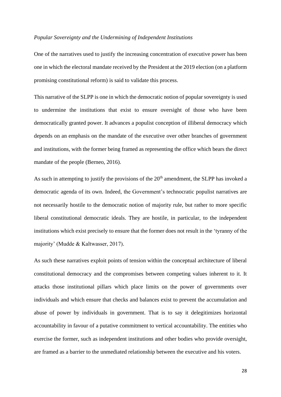#### *Popular Sovereignty and the Undermining of Independent Institutions*

One of the narratives used to justify the increasing concentration of executive power has been one in which the electoral mandate received by the President at the 2019 election (on a platform promising constitutional reform) is said to validate this process.

This narrative of the SLPP is one in which the democratic notion of popular sovereignty is used to undermine the institutions that exist to ensure oversight of those who have been democratically granted power. It advances a populist conception of illiberal democracy which depends on an emphasis on the mandate of the executive over other branches of government and institutions, with the former being framed as representing the office which bears the direct mandate of the people (Berneo, 2016).

As such in attempting to justify the provisions of the  $20<sup>th</sup>$  amendment, the SLPP has invoked a democratic agenda of its own. Indeed, the Government's technocratic populist narratives are not necessarily hostile to the democratic notion of majority rule, but rather to more specific liberal constitutional democratic ideals. They are hostile, in particular, to the independent institutions which exist precisely to ensure that the former does not result in the 'tyranny of the majority' (Mudde & Kaltwasser, 2017).

As such these narratives exploit points of tension within the conceptual architecture of liberal constitutional democracy and the compromises between competing values inherent to it. It attacks those institutional pillars which place limits on the power of governments over individuals and which ensure that checks and balances exist to prevent the accumulation and abuse of power by individuals in government. That is to say it delegitimizes horizontal accountability in favour of a putative commitment to vertical accountability. The entities who exercise the former, such as independent institutions and other bodies who provide oversight, are framed as a barrier to the unmediated relationship between the executive and his voters.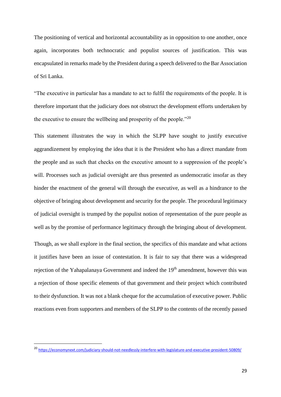The positioning of vertical and horizontal accountability as in opposition to one another, once again, incorporates both technocratic and populist sources of justification. This was encapsulated in remarks made by the President during a speech delivered to the Bar Association of Sri Lanka.

"The executive in particular has a mandate to act to fulfil the requirements of the people. It is therefore important that the judiciary does not obstruct the development efforts undertaken by the executive to ensure the wellbeing and prosperity of the people."<sup>20</sup>

This statement illustrates the way in which the SLPP have sought to justify executive aggrandizement by employing the idea that it is the President who has a direct mandate from the people and as such that checks on the executive amount to a suppression of the people's will. Processes such as judicial oversight are thus presented as undemocratic insofar as they hinder the enactment of the general will through the executive, as well as a hindrance to the objective of bringing about development and security for the people. The procedural legitimacy of judicial oversight is trumped by the populist notion of representation of the pure people as well as by the promise of performance legitimacy through the bringing about of development.

Though, as we shall explore in the final section, the specifics of this mandate and what actions it justifies have been an issue of contestation. It is fair to say that there was a widespread rejection of the Yahapalanaya Government and indeed the 19<sup>th</sup> amendment, however this was a rejection of those specific elements of that government and their project which contributed to their dysfunction. It was not a blank cheque for the accumulation of executive power. Public reactions even from supporters and members of the SLPP to the contents of the recently passed

<sup>20</sup> <https://economynext.com/judiciary-should-not-needlessly-interfere-with-legislature-and-executive-president-50809/>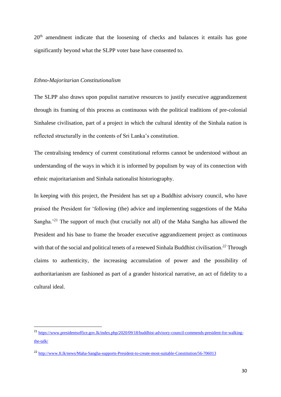20<sup>th</sup> amendment indicate that the loosening of checks and balances it entails has gone significantly beyond what the SLPP voter base have consented to.

#### *Ethno-Majoritarian Constitutionalism*

The SLPP also draws upon populist narrative resources to justify executive aggrandizement through its framing of this process as continuous with the political traditions of pre-colonial Sinhalese civilisation, part of a project in which the cultural identity of the Sinhala nation is reflected structurally in the contents of Sri Lanka's constitution.

The centralising tendency of current constitutional reforms cannot be understood without an understanding of the ways in which it is informed by populism by way of its connection with ethnic majoritarianism and Sinhala nationalist historiography.

In keeping with this project, the President has set up a Buddhist advisory council, who have praised the President for 'following (the) advice and implementing suggestions of the Maha Sangha.<sup>21</sup> The support of much (but crucially not all) of the Maha Sangha has allowed the President and his base to frame the broader executive aggrandizement project as continuous with that of the social and political tenets of a renewed Sinhala Buddhist civilisation*. <sup>22</sup>* Through claims to authenticity, the increasing accumulation of power and the possibility of authoritarianism are fashioned as part of a grander historical narrative, an act of fidelity to a cultural ideal.

<sup>21</sup> [https://www.presidentsoffice.gov.lk/index.php/2020/09/18/buddhist-advisory-council-commends-president-for-walking](https://www.presidentsoffice.gov.lk/index.php/2020/09/18/buddhist-advisory-council-commends-president-for-walking-the-talk/)[the-talk/](https://www.presidentsoffice.gov.lk/index.php/2020/09/18/buddhist-advisory-council-commends-president-for-walking-the-talk/)

<sup>22</sup> <http://www.ft.lk/news/Maha-Sangha-supports-President-to-create-most-suitable-Constitution/56-706013>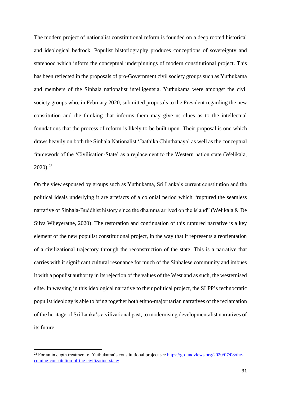The modern project of nationalist constitutional reform is founded on a deep rooted historical and ideological bedrock. Populist historiography produces conceptions of sovereignty and statehood which inform the conceptual underpinnings of modern constitutional project. This has been reflected in the proposals of pro-Government civil society groups such as Yuthukama and members of the Sinhala nationalist intelligentsia. Yuthukama were amongst the civil society groups who, in February 2020, submitted proposals to the President regarding the new constitution and the thinking that informs them may give us clues as to the intellectual foundations that the process of reform is likely to be built upon. Their proposal is one which draws heavily on both the Sinhala Nationalist 'Jaathika Chinthanaya' as well as the conceptual framework of the 'Civilisation-State' as a replacement to the Western nation state (Welikala, 2020). 23

On the view espoused by groups such as Yuthukama, Sri Lanka's current constitution and the political ideals underlying it are artefacts of a colonial period which "ruptured the seamless narrative of Sinhala-Buddhist history since the dhamma arrived on the island" (Welikala & De Silva Wijeyeratne, 2020). The restoration and continuation of this ruptured narrative is a key element of the new populist constitutional project, in the way that it represents a reorientation of a civilizational trajectory through the reconstruction of the state. This is a narrative that carries with it significant cultural resonance for much of the Sinhalese community and imbues it with a populist authority in its rejection of the values of the West and as such, the westernised elite. In weaving in this ideological narrative to their political project, the SLPP's technocratic populist ideology is able to bring together both ethno-majoritarian narratives of the reclamation of the heritage of Sri Lanka's civilizational past, to modernising developmentalist narratives of its future.

<sup>&</sup>lt;sup>23</sup> For an in depth treatment of Yuthukama's constitutional project see [https://groundviews.org/2020/07/08/the](https://groundviews.org/2020/07/08/the-coming-constitution-of-the-civilization-state/)[coming-constitution-of-the-civilization-state/](https://groundviews.org/2020/07/08/the-coming-constitution-of-the-civilization-state/)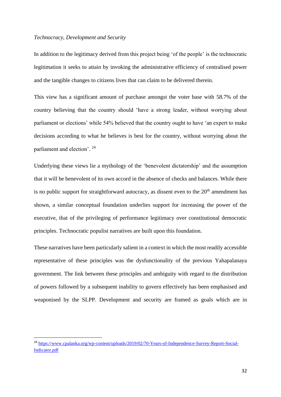#### *Technocracy, Development and Security*

In addition to the legitimacy derived from this project being 'of the people' is the technocratic legitimation it seeks to attain by invoking the administrative efficiency of centralised power and the tangible changes to citizens lives that can claim to be delivered therein.

This view has a significant amount of purchase amongst the voter base with 58.7% of the country believing that the country should 'have a strong leader, without worrying about parliament or elections' while 54% believed that the country ought to have 'an expert to make decisions according to what he believes is best for the country, without worrying about the parliament and election'.<sup>24</sup>

Underlying these views lie a mythology of the 'benevolent dictatorship' and the assumption that it will be benevolent of its own accord in the absence of checks and balances. While there is no public support for straightforward autocracy, as dissent even to the  $20<sup>th</sup>$  amendment has shown, a similar conceptual foundation underlies support for increasing the power of the executive, that of the privileging of performance legitimacy over constitutional democratic principles. Technocratic populist narratives are built upon this foundation.

These narratives have been particularly salient in a context in which the most readily accessible representative of these principles was the dysfunctionality of the previous Yahapalanaya government. The link between these principles and ambiguity with regard to the distribution of powers followed by a subsequent inability to govern effectively has been emphasised and weaponised by the SLPP. Development and security are framed as goals which are in

<sup>24</sup> [https://www.cpalanka.org/wp-content/uploads/2019/02/70-Years-of-Independence-Survey-Report-Social-](https://www.cpalanka.org/wp-content/uploads/2019/02/70-Years-of-Independence-Survey-Report-Social-Indicator.pdf)[Indicator.pdf](https://www.cpalanka.org/wp-content/uploads/2019/02/70-Years-of-Independence-Survey-Report-Social-Indicator.pdf)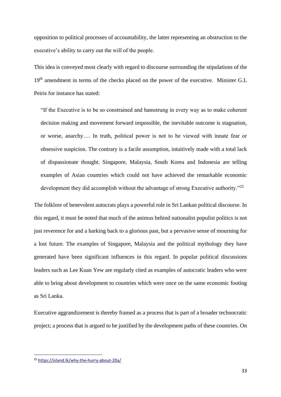opposition to political processes of accountability, the latter representing an obstruction to the executive's ability to carry out the will of the people.

This idea is conveyed most clearly with regard to discourse surrounding the stipulations of the 19<sup>th</sup> amendment in terms of the checks placed on the power of the executive. Minister G.L Peiris for instance has stated:

"If the Executive is to be so constrained and hamstrung in every way as to make coherent decision making and movement forward impossible, the inevitable outcome is stagnation, or worse, anarchy…. In truth, political power is not to be viewed with innate fear or obsessive suspicion. The contrary is a facile assumption, intuitively made with a total lack of dispassionate thought. Singapore, Malaysia, South Korea and Indonesia are telling examples of Asian countries which could not have achieved the remarkable economic development they did accomplish without the advantage of strong Executive authority."<sup>25</sup>

The folklore of benevolent autocrats plays a powerful role in Sri Lankan political discourse. In this regard, it must be noted that much of the animus behind nationalist populist politics is not just reverence for and a harking back to a glorious past, but a pervasive sense of mourning for a lost future. The examples of Singapore, Malaysia and the political mythology they have generated have been significant influences in this regard. In popular political discussions leaders such as Lee Kuan Yew are regularly cited as examples of autocratic leaders who were able to bring about development to countries which were once on the same economic footing as Sri Lanka.

Executive aggrandizement is thereby framed as a process that is part of a broader technocratic project; a process that is argued to be justified by the development paths of these countries. On

<sup>25</sup> <https://island.lk/why-the-hurry-about-20a/>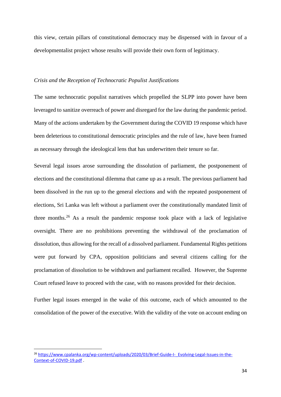this view, certain pillars of constitutional democracy may be dispensed with in favour of a developmentalist project whose results will provide their own form of legitimacy.

#### *Crisis and the Reception of Technocratic Populist Justifications*

The same technocratic populist narratives which propelled the SLPP into power have been leveraged to sanitize overreach of power and disregard for the law during the pandemic period. Many of the actions undertaken by the Government during the COVID 19 response which have been deleterious to constitutional democratic principles and the rule of law, have been framed as necessary through the ideological lens that has underwritten their tenure so far.

Several legal issues arose surrounding the dissolution of parliament, the postponement of elections and the constitutional dilemma that came up as a result. The previous parliament had been dissolved in the run up to the general elections and with the repeated postponement of elections, Sri Lanka was left without a parliament over the constitutionally mandated limit of three months.<sup>26</sup> As a result the pandemic response took place with a lack of legislative oversight*.* There are no prohibitions preventing the withdrawal of the proclamation of dissolution, thus allowing for the recall of a dissolved parliament. Fundamental Rights petitions were put forward by CPA, opposition politicians and several citizens calling for the proclamation of dissolution to be withdrawn and parliament recalled. However, the Supreme Court refused leave to proceed with the case, with no reasons provided for their decision.

Further legal issues emerged in the wake of this outcome, each of which amounted to the consolidation of the power of the executive. With the validity of the vote on account ending on

<sup>&</sup>lt;sup>26</sup> [https://www.cpalanka.org/wp-content/uploads/2020/03/Brief-Guide-I-\\_Evolving-Legal-Issues-in-the-](https://www.cpalanka.org/wp-content/uploads/2020/03/Brief-Guide-I-_Evolving-Legal-Issues-in-the-Context-of-COVID-19.pdf)[Context-of-COVID-19.pdf](https://www.cpalanka.org/wp-content/uploads/2020/03/Brief-Guide-I-_Evolving-Legal-Issues-in-the-Context-of-COVID-19.pdf) .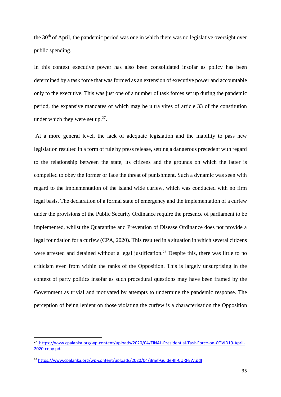the 30<sup>th</sup> of April, the pandemic period was one in which there was no legislative oversight over public spending.

In this context executive power has also been consolidated insofar as policy has been determined by a task force that was formed as an extension of executive power and accountable only to the executive. This was just one of a number of task forces set up during the pandemic period, the expansive mandates of which may be ultra vires of article 33 of the constitution under which they were set up. $27$ .

At a more general level, the lack of adequate legislation and the inability to pass new legislation resulted in a form of rule by press release, setting a dangerous precedent with regard to the relationship between the state, its citizens and the grounds on which the latter is compelled to obey the former or face the threat of punishment. Such a dynamic was seen with regard to the implementation of the island wide curfew, which was conducted with no firm legal basis. The declaration of a formal state of emergency and the implementation of a curfew under the provisions of the Public Security Ordinance require the presence of parliament to be implemented, whilst the Quarantine and Prevention of Disease Ordinance does not provide a legal foundation for a curfew (CPA, 2020). This resulted in a situation in which several citizens were arrested and detained without a legal justification.<sup>28</sup> Despite this, there was little to no criticism even from within the ranks of the Opposition. This is largely unsurprising in the context of party politics insofar as such procedural questions may have been framed by the Government as trivial and motivated by attempts to undermine the pandemic response. The perception of being lenient on those violating the curfew is a characterisation the Opposition

<sup>27</sup> [https://www.cpalanka.org/wp-content/uploads/2020/04/FINAL-Presidential-Task-Force-on-COVID19-April-](https://www.cpalanka.org/wp-content/uploads/2020/04/FINAL-Presidential-Task-Force-on-COVID19-April-2020-copy.pdf)[2020-copy.pdf](https://www.cpalanka.org/wp-content/uploads/2020/04/FINAL-Presidential-Task-Force-on-COVID19-April-2020-copy.pdf)

<sup>28</sup> <https://www.cpalanka.org/wp-content/uploads/2020/04/Brief-Guide-III-CURFEW.pdf>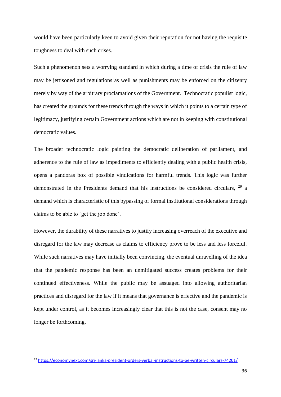would have been particularly keen to avoid given their reputation for not having the requisite toughness to deal with such crises.

Such a phenomenon sets a worrying standard in which during a time of crisis the rule of law may be jettisoned and regulations as well as punishments may be enforced on the citizenry merely by way of the arbitrary proclamations of the Government. Technocratic populist logic, has created the grounds for these trends through the ways in which it points to a certain type of legitimacy, justifying certain Government actions which are not in keeping with constitutional democratic values.

The broader technocratic logic painting the democratic deliberation of parliament, and adherence to the rule of law as impediments to efficiently dealing with a public health crisis, opens a pandoras box of possible vindications for harmful trends. This logic was further demonstrated in the Presidents demand that his instructions be considered circulars, <sup>29</sup> a demand which is characteristic of this bypassing of formal institutional considerations through claims to be able to 'get the job done'.

However, the durability of these narratives to justify increasing overreach of the executive and disregard for the law may decrease as claims to efficiency prove to be less and less forceful. While such narratives may have initially been convincing, the eventual unravelling of the idea that the pandemic response has been an unmitigated success creates problems for their continued effectiveness. While the public may be assuaged into allowing authoritarian practices and disregard for the law if it means that governance is effective and the pandemic is kept under control, as it becomes increasingly clear that this is not the case, consent may no longer be forthcoming.

<sup>29</sup> <https://economynext.com/sri-lanka-president-orders-verbal-instructions-to-be-written-circulars-74201/>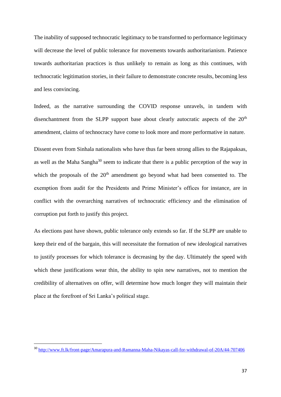The inability of supposed technocratic legitimacy to be transformed to performance legitimacy will decrease the level of public tolerance for movements towards authoritarianism. Patience towards authoritarian practices is thus unlikely to remain as long as this continues, with technocratic legitimation stories, in their failure to demonstrate concrete results, becoming less and less convincing.

Indeed, as the narrative surrounding the COVID response unravels, in tandem with disenchantment from the SLPP support base about clearly autocratic aspects of the  $20<sup>th</sup>$ amendment, claims of technocracy have come to look more and more performative in nature.

Dissent even from Sinhala nationalists who have thus far been strong allies to the Rajapaksas, as well as the Maha Sangha $30$  seem to indicate that there is a public perception of the way in which the proposals of the 20<sup>th</sup> amendment go beyond what had been consented to. The exemption from audit for the Presidents and Prime Minister's offices for instance, are in conflict with the overarching narratives of technocratic efficiency and the elimination of corruption put forth to justify this project.

As elections past have shown, public tolerance only extends so far. If the SLPP are unable to keep their end of the bargain, this will necessitate the formation of new ideological narratives to justify processes for which tolerance is decreasing by the day. Ultimately the speed with which these justifications wear thin, the ability to spin new narratives, not to mention the credibility of alternatives on offer, will determine how much longer they will maintain their place at the forefront of Sri Lanka's political stage.

<sup>30</sup> <http://www.ft.lk/front-page/Amarapura-and-Ramanna-Maha-Nikayas-call-for-withdrawal-of-20A/44-707406>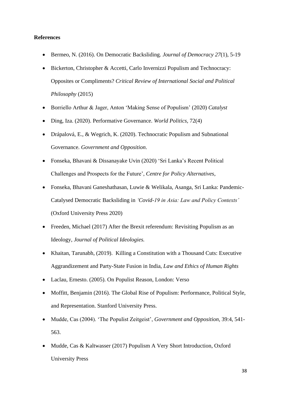# **References**

- Bermeo, N. (2016). On Democratic Backsliding. *Journal of Democracy 27*(1), 5-19
- Bickerton, Christopher & Accetti, Carlo Invernizzi Populism and Technocracy: Opposites or Compliments? *Critical Review of International Social and Political Philosophy* (2015)
- Borriello Arthur & Jager, Anton 'Making Sense of Populism' (2020) *Catalyst*
- Ding, Iza. (2020). Performative Governance. *World Politics,* 72(4)
- Drápalová, E., & Wegrich, K. (2020). Technocratic Populism and Subnational Governance. *Government and Opposition*.
- Fonseka, Bhavani & Dissanayake Uvin (2020) 'Sri Lanka's Recent Political Challenges and Prospects for the Future', *Centre for Policy Alternatives*,
- Fonseka, Bhavani Ganeshathasan, Luwie & Welikala, Asanga, Sri Lanka: Pandemic-Catalysed Democratic Backsliding in *'Covid-19 in Asia: Law and Policy Contexts'* (Oxford University Press 2020)
- Freeden, Michael (2017) After the Brexit referendum: Revisiting Populism as an Ideology, *Journal of Political Ideologies.*
- Khaitan, Tarunabh, (2019). Killing a Constitution with a Thousand Cuts: Executive Aggrandizement and Party-State Fusion in India, *Law and Ethics of Human Rights*
- Laclau, Ernesto. (2005). On Populist Reason, London: Verso
- Moffitt, Benjamin (2016). The Global Rise of Populism: Performance, Political Style, and Representation. Stanford University Press.
- Mudde, Cas (2004). 'The Populist Zeitgeist', *Government and Opposition*, 39:4, 541- 563.
- Mudde, Cas & Kaltwasser (2017) Populism A Very Short Introduction, Oxford University Press